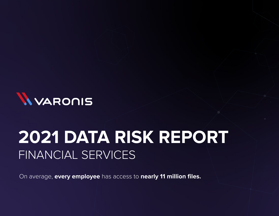

# **2021 DATA RISK REPORT** FINANCIAL SERVICES

On average, **every employee** has access to **nearly 11 million files.**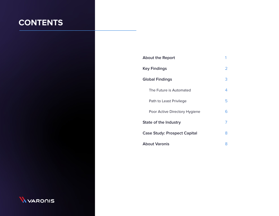## **CONTENTS**

| <b>About the Report</b>             |   |  |
|-------------------------------------|---|--|
| <b>Key Findings</b>                 | 2 |  |
| <b>Global Findings</b>              | 3 |  |
| The Future is Automated             | 4 |  |
| Path to Least Privilege             | 5 |  |
| Poor Active Directory Hygiene       | 6 |  |
| State of the Industry               |   |  |
| <b>Case Study: Prospect Capital</b> |   |  |
| <b>About Varonis</b>                |   |  |

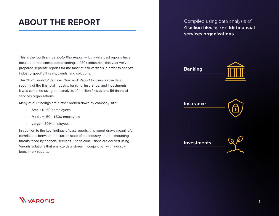### **ABOUT THE REPORT**

This is the fourth annual Data Risk Report - but while past reports have focused on the consolidated findings of 30+ industries, this year we've prepared separate reports for the most at-risk verticals in order to analyze industry-specific threats, trends, and solutions.

The 2021 Financial Services Data Risk Report focuses on the data security of the financial industry: banking, insurance, and investments. It was compiled using data analysis of 4 billion files across 56 financial services organizations.

Many of our findings are further broken down by company size:

- **• Small:** 0–500 employees
- **• Medium:** 501–1,500 employees
- **• Large:** 1,501+ employees

In addition to the key findings of past reports, this report draws meaningful correlations between the current state of the industry and the mounting threats faced by financial services. These conclusions are derived using Varonis solutions that analyze data stores in conjunction with industry benchmark reports.

Compiled using data analysis of **4 billion files** across **56 financial services organizations**



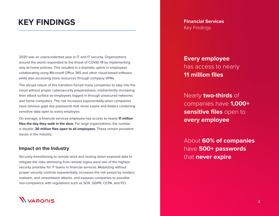### **KEY FINDINGS**

2020 was an unprecedented year in IT and IT security. Organizations around the world responded to the threat of COVID-19 by implementing stay-at-home policies. This resulted in a dramatic uptick in employees collaborating using Microsoft Office 365 and other cloud-based software, while also accessing more resources through company VPNs.

The abrupt nature of this transition forced many companies to step into the cloud without proper cybersecurity preparedness, inadvertently increasing their attack surface as employees logged in through unsecured networks and home computers. The risk increases exponentially when companies have obvious gaps like passwords that never expire and folders containing sensitive data open to every employee.

On average, a financial services employee has access to nearly **11 million files the day they walk in the door.** For large organizations, the number is double: **20 million files open to all employees.** These remain prevalent issues in the industry.

#### **Impact on the Industry**

Securely transitioning to remote work and locking down exposed data to mitigate the risks stemming from remote logins were two of the highest security priorities for IT teams in financial services. Mobilizing without proper security controls exponentially increases the risk posed by insiders, malware, and ransomware attacks, and exposes companies to possible non-compliance with regulations such as SOX, GDPR, CCPA, and PCI.



**Financial Services** Key Findings

**Every employee**  has access to nearly **11 million files**

Nearly **two-thirds** of companies have **1,000+ sensitive files** open to **every employee**

About **60% of companies** have **500+ passwords** that **never expire**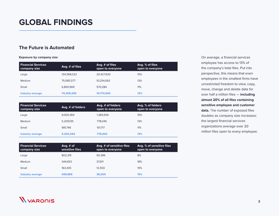### **GLOBAL FINDINGS**

#### **The Future is Automated**

**Exposure by company size**

| <b>Financial Services</b><br>company size | Avg. # of files | Avg. $#$ of files<br>open to everyone | Avg. % of files<br>open to everyone |
|-------------------------------------------|-----------------|---------------------------------------|-------------------------------------|
| Large                                     | 134,368,022     | 20,427,920                            | 15%                                 |
| Medium                                    | 75,085,577      | 10.254.062                            | 13%                                 |
| Small                                     | 6.800.969       | 570.284                               | 11%                                 |
| <b>Industry average</b>                   | 74,309,255      | 10.774.940                            | 13%                                 |

| <b>Financial Services</b><br>company size | Avg. # of folders | Avg. # of folders<br>open to everyone | Avg. % of folders<br>open to everyone |
|-------------------------------------------|-------------------|---------------------------------------|---------------------------------------|
| Large                                     | 9,000,369         | 1,383,656                             | 15%                                   |
| Medium                                    | 5,209,135         | 778.045                               | 13%                                   |
| Small                                     | 981,746           | 101.717                               | 11%                                   |
| <b>Industry average</b>                   | 5.204.344         | 776.943                               | 13%                                   |

On average, a financial services employee has access to 13% of the company's total files. Put into perspective, this means that even employees in the smallest firms have unrestricted freedom to view, copy, move, change and delete data for over half a million files — **including almost 20% of all files containing sensitive employee and customer data.** The number of exposed files doubles as company size increases; the largest financial services organizations average over 20 million files open to every employee.

| <b>Financial Services</b><br>company size | Avg. $#$ of<br>sensitive files | Avg. # of sensitive files<br>open to everyone | Avg. % of sensitive files<br>open to everyone |
|-------------------------------------------|--------------------------------|-----------------------------------------------|-----------------------------------------------|
| Large                                     | 802.315                        | 55.396                                        | 8%                                            |
| <b>Medium</b>                             | 344.653                        | 37.911                                        | 18%                                           |
| Small                                     | 163.435                        | 12.550                                        | 19%                                           |
| Industry average                          | 449.855                        | 36,004                                        | 15%                                           |

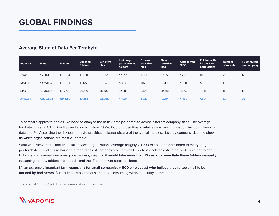#### **Average State of Data Per Terabyte**

| Industry       | <b>Files</b> | <b>Folders</b> | <b>Exposed</b><br>folders | <b>Sensitive</b><br>files | <b>Uniquely</b><br>permissioned<br>folders | <b>Exposed</b><br>sensitive<br><b>files</b> | Stale,<br>sensitive<br>files | <b>Unresolved</b><br><b>SIDS</b> | <b>Folders with</b><br>inconsistent<br>permissions | <b>Number</b><br>of reports | <b>TB Analyzed</b><br>per company |
|----------------|--------------|----------------|---------------------------|---------------------------|--------------------------------------------|---------------------------------------------|------------------------------|----------------------------------|----------------------------------------------------|-----------------------------|-----------------------------------|
| Large          | 1,280,436    | 108,004        | 19,080                    | 19,582                    | 12,812                                     | 1,779                                       | 10,165                       | 1,227                            | 818                                                | 20                          | 126                               |
| Medium         | 1,425,052    | 135,883        | 18,175                    | 12,134                    | 9,474                                      | 1,168                                       | 9,540                        | 1,590                            | 505                                                | 18                          | 65                                |
| Small          | 1,090,355    | 131,775        | 20,516                    | 35,506                    | 12,484                                     | 2,571                                       | 20,586                       | 1,576                            | 1,948                                              | 18                          | 12                                |
| <b>Average</b> | 1,265,822    | 124,606        | 19,251                    | 22,306                    | 11,634                                     | 1,837                                       | 13,314                       | 1,456                            | 1,081                                              | 56                          | 70                                |

To compare apples to apples, we need to analyze the at-risk data per terabyte across different company sizes. The average terabyte contains 1.3 million files and approximately 2% (20,000 of those files) contains sensitive information, including financial data and PII. Assessing the risk per terabyte provides a clearer picture of the typical attack surface by company size and shows us which organizations are most vulnerable.

What we discovered is that financial services organizations average roughly 20,000 exposed folders (open to everyone') per terabyte — and this remains true regardless of company size. It takes IT professionals an estimated 6–8 hours per folder to locate and manually remove global access, meaning **it would take more than 15 years to remediate these folders manually** (assuming no new folders are added… and the IT team never stops to sleep).

It's an extremely important task, **especially for small companies (<500 employees) who believe they're too small to be noticed by bad actors.** But it's impossibly tedious and time-consuming without security automation.

1 For this report, "everyone" indicates every employee within the organization.

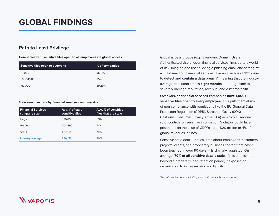#### **Path to Least Privilege**

**Companies with sensitive files open to all employees via global access**

| Sensitive files open to everyone | % of companies |
|----------------------------------|----------------|
| < 1.000                          | 35.71%         |
| 1,000-10,000                     | 25%            |
| >10,000                          | 39.29%         |

#### **Stale sensitive data by financial services company size**

| <b>Financial Services</b><br>company size | Avg. # of stale<br>sensitive files | Avg. % of sensitive<br>files that are stale |
|-------------------------------------------|------------------------------------|---------------------------------------------|
| Large                                     | 526,606                            | 63%                                         |
| Medium                                    | 208,490                            | 74%                                         |
| Small                                     | 109.152                            | 74%                                         |
| <b>Industry average</b>                   | 290.173                            | 70%                                         |

Global access groups (e.g., Everyone, Domain Users, Authenticated Users) open financial services firms up to a world of risk. Imagine one user clicking a phishing email and setting off a chain reaction. Financial services take an average of **233 days to detect and contain a data breach**<sup>2</sup>, meaning that the industry average resolution time is **eight months** — enough time to severely damage reputation, revenue, and customer faith.

#### **Over 64% of financial services companies have 1,000+ sensitive files open to every employee.** This puts them at risk of non-compliance with regulations like the EU General Data Protection Regulation (GDPR), Sarbanes-Oxley (SOX) and California Consumer Privacy Act (CCPA) — which all require strict controls on sensitive information. Violators could face prison and (in the case of GDPR) up to €20 million or 4% of global revenues in fines.

Sensitive stale data — critical data about employees, customers, projects, clients, and proprietary business content that hasn't been touched in over 90 days — is similarly regulated. On average, **70% of all sensitive data is stale.** If this data is kept beyond a predetermined retention period, it exposes an organization to increased risk and liability.

2 https://www.ibm.com/security/digital-assets/cost-data-breach-report/#/

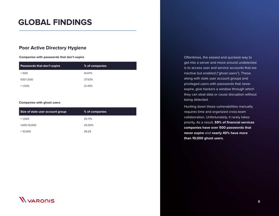### **GLOBAL FINDINGS**

#### **Poor Active Directory Hygiene**

**Companies with passwords that don't expire**

| <b>Passwords that don't expire</b> | % of companies |
|------------------------------------|----------------|
| < 500                              | 41.07%         |
| 500-1,500                          | 37.50%         |
| >1,500                             | 21.43%         |

#### **Companies with ghost users**

| Size of stale user account group | $\%$ of companies |
|----------------------------------|-------------------|
| < 1.000                          | 35.71%            |
| 1,000-10,000                     | 25.00%            |
| >10,000                          | 39.29             |

Oftentimes, the easiest and quickest way to get into a server and move around undetected is to access user and service accounts that are inactive but enabled ("ghost users"). These, along with stale user account groups and privileged users with passwords that never expire, give hackers a window through which they can steal data or cause disruption without being detected.

Hunting down these vulnerabilities manually requires time and organized cross-team collaboration. Unfortunately, it rarely takes priority. As a result, **59% of financial services companies have over 500 passwords that never expire** and **nearly 40% have more than 10,000 ghost users**.

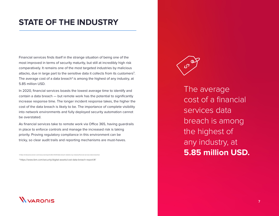### **STATE OF THE INDUSTRY**

Financial services finds itself in the strange situation of being one of the most improved in terms of security maturity, but still at incredibly high risk comparatively. It remains one of the most targeted industries by malicious attacks, due in large part to the sensitive data it collects from its customers<sup>3</sup>. The average cost of a data breach<sup>4</sup> is among the highest of any industry, at 5.85 million USD.

In 2020, financial services boasts the lowest average time to identify and contain a data breach — but remote work has the potential to significantly increase response time. The longer incident response takes, the higher the cost of the data breach is likely to be. The importance of complete visibility into network environments and fully deployed security automation cannot be overstated.

As financial services take to remote work via Office 365, having guardrails in place to enforce controls and manage the increased risk is taking priority. Proving regulatory compliance in this environment can be tricky, so clear audit trails and reporting mechanisms are must-haves.

4 https://www.ibm.com/security/digital-assets/cost-data-breach-report/#/

3 https://enterprise.verizon.com/resources/reports/dbir/2020/data-breach-statistics-by-industry/financial-services-data-breaches/



The average cost of a financial services data breach is among the highest of any industry, at **5.85 million USD.**

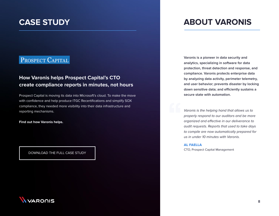### PROSPECT CAPITAL

### **How Varonis helps Prospect Capital's CTO create compliance reports in minutes, not hours**

Prospect Capital is moving its data into Microsoft's cloud. To make the move with confidence and help produce ITGC Recertifications and simplify SOX compliance, they needed more visibility into their data infrastructure and reporting mechanisms.

**Find out how Varonis helps.**

[DOWNLOAD THE FULL CASE STUDY](https://info.varonis.com/hubfs/docs/case_studies/en/Varonis_Case_Study-Prospect-Capital.pdf)

### **CASE STUDY ABOUT VARONIS**

**Varonis is a pioneer in data security and analytics, specializing in software for data protection, threat detection and response, and compliance. Varonis protects enterprise data by analyzing data activity, perimeter telemetry, and user behavior; prevents disaster by locking down sensitive data; and efficiently sustains a secure state with automation.**

Varonis is the helping hand that allows us to properly respond to our auditors and be more organized and effective in our deliverance to audit requests. Reports that used to take days to compile are now automatically prepared for us in under 10 minutes with Varonis.

AL FAELLA CTO, Prospect Capital Management